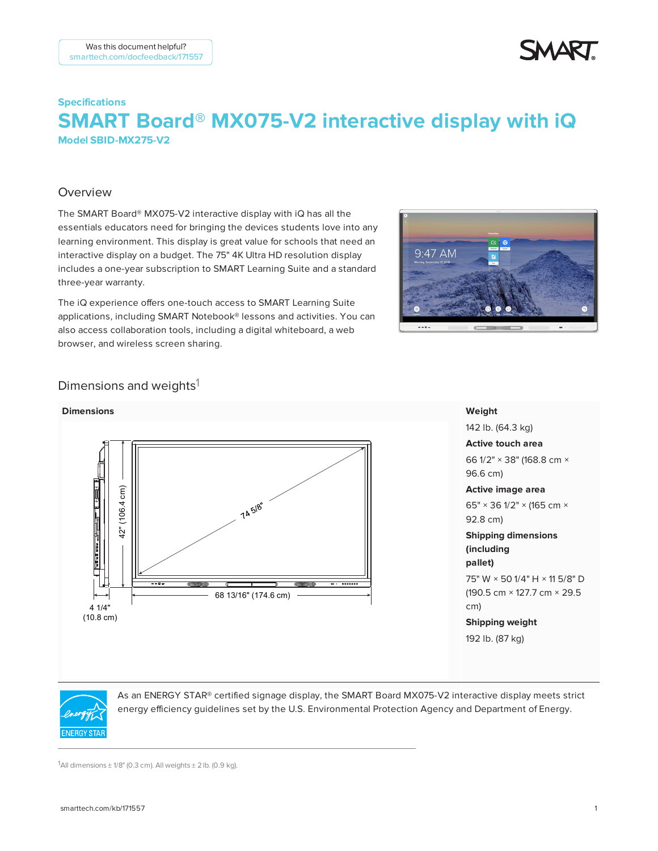

# **Specifications SMART Board® MX075-V2 interactive display with iQ – Model SBID-MX275-V2**

### Overview

The SMART Board® MX075-V2 interactive display with iQ has all the essentials educators need for bringing the devices students love into any learning environment. This display is great value for schools that need an interactive display on a budget. The 75" 4K Ultra HD resolution display includes a one-year subscription to SMART Learning Suite and a standard three-year warranty.

The iQ experience offers one-touch access to SMART Learning Suite applications, including SMART Notebook® lessons and activities. You can also access collaboration tools, including a digital whiteboard, a web browser, and wireless screen sharing.



### Dimensions and weights<sup>1</sup>



#### **Weight**

142 lb. (64.3 kg) **Active touch area** 66 1/2" × 38" (168.8 cm × 96.6 cm) **Active image area** 65" × 36 1/2" × (165 cm × 92.8 cm) **Shipping dimensions (including pallet)** 75" W × 50 1/4" H × 11 5/8" D (190.5 cm × 127.7 cm × 29.5 **Shipping weight** 192 lb. (87 kg)



As an ENERGY STAR® certified signage display, the SMART Board MX075-V2 interactive display meets strict energy efficiency guidelines set by the U.S. Environmental Protection Agency and Department of Energy.

1All dimensions  $\pm$  1/8" (0.3 cm). All weights  $\pm$  2 lb. (0.9 kg).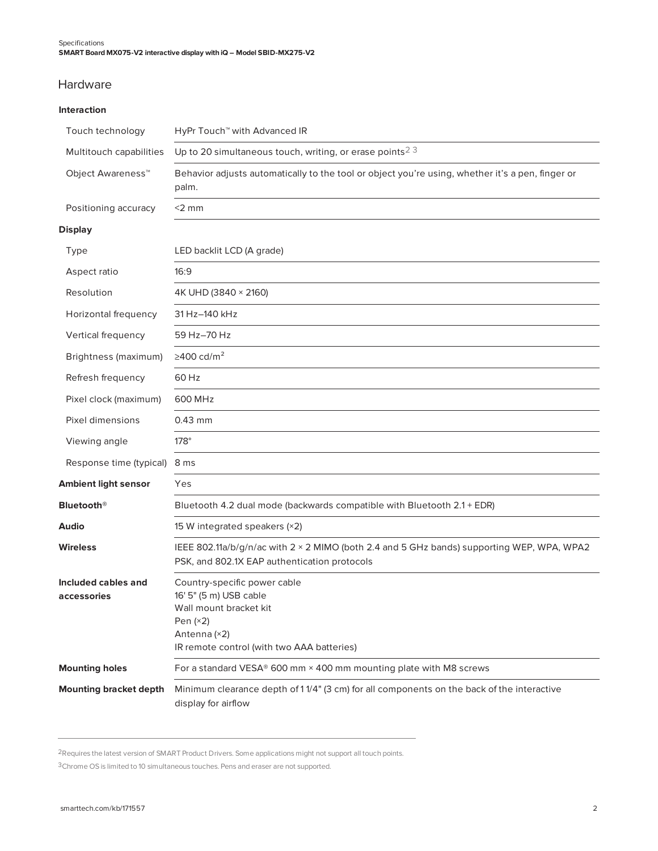### Hardware

#### **Interaction**

| Touch technology                   | HyPr Touch <sup>™</sup> with Advanced IR                                                                                                                     |
|------------------------------------|--------------------------------------------------------------------------------------------------------------------------------------------------------------|
| Multitouch capabilities            | Up to 20 simultaneous touch, writing, or erase points <sup>23</sup>                                                                                          |
| Object Awareness <sup>™</sup>      | Behavior adjusts automatically to the tool or object you're using, whether it's a pen, finger or<br>palm.                                                    |
| Positioning accuracy               | $<$ 2 mm                                                                                                                                                     |
| Display                            |                                                                                                                                                              |
| Type                               | LED backlit LCD (A grade)                                                                                                                                    |
| Aspect ratio                       | 16:9                                                                                                                                                         |
| Resolution                         | 4K UHD (3840 × 2160)                                                                                                                                         |
| Horizontal frequency               | 31 Hz-140 kHz                                                                                                                                                |
| Vertical frequency                 | 59 Hz-70 Hz                                                                                                                                                  |
| Brightness (maximum)               | $\geq$ 400 cd/m <sup>2</sup>                                                                                                                                 |
| Refresh frequency                  | 60 Hz                                                                                                                                                        |
| Pixel clock (maximum)              | 600 MHz                                                                                                                                                      |
| Pixel dimensions                   | $0.43$ mm                                                                                                                                                    |
| Viewing angle                      | $178^\circ$                                                                                                                                                  |
| Response time (typical)            | 8 ms                                                                                                                                                         |
| Ambient light sensor               | Yes                                                                                                                                                          |
| <b>Bluetooth</b> <sup>®</sup>      | Bluetooth 4.2 dual mode (backwards compatible with Bluetooth 2.1 + EDR)                                                                                      |
| Audio                              | 15 W integrated speakers (×2)                                                                                                                                |
| Wireless                           | IEEE 802.11a/b/g/n/ac with 2 × 2 MIMO (both 2.4 and 5 GHz bands) supporting WEP, WPA, WPA2<br>PSK, and 802.1X EAP authentication protocols                   |
| Included cables and<br>accessories | Country-specific power cable<br>16' 5" (5 m) USB cable<br>Wall mount bracket kit<br>Pen $(x2)$<br>Antenna (×2)<br>IR remote control (with two AAA batteries) |
| <b>Mounting holes</b>              | For a standard VESA® 600 mm × 400 mm mounting plate with M8 screws                                                                                           |
| <b>Mounting bracket depth</b>      | Minimum clearance depth of 11/4" (3 cm) for all components on the back of the interactive<br>display for airflow                                             |

2Requires the latest version of SMART Product Drivers. Some applications might not support all touch points.

3Chrome OS is limited to 10 simultaneous touches. Pens and eraser are not supported.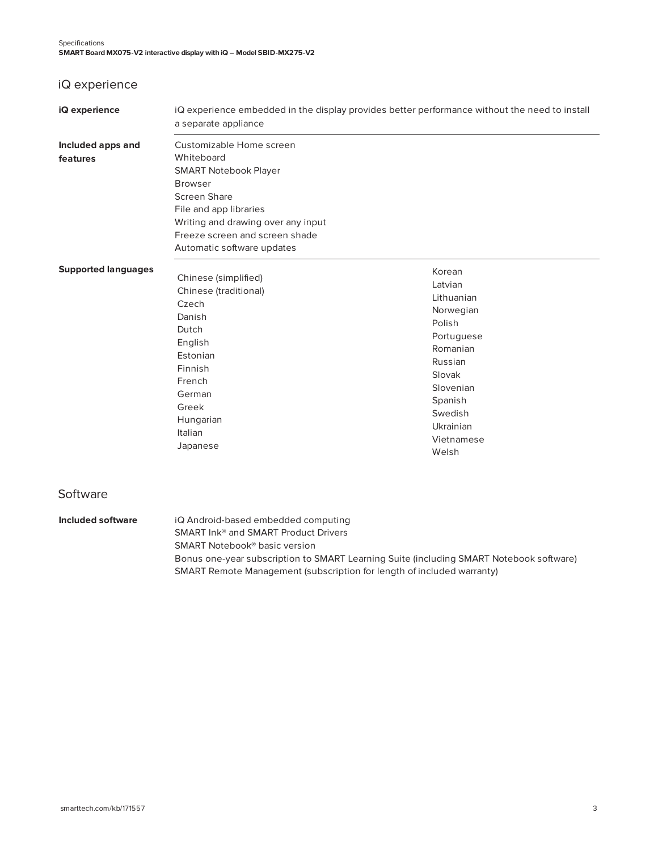# iQ experience

| iQ experience                 | a separate appliance                                                                                                                                                                                                                            | iQ experience embedded in the display provides better performance without the need to install                                                                                |
|-------------------------------|-------------------------------------------------------------------------------------------------------------------------------------------------------------------------------------------------------------------------------------------------|------------------------------------------------------------------------------------------------------------------------------------------------------------------------------|
| Included apps and<br>features | Customizable Home screen<br>Whiteboard<br><b>SMART Notebook Player</b><br><b>Browser</b><br><b>Screen Share</b><br>File and app libraries<br>Writing and drawing over any input<br>Freeze screen and screen shade<br>Automatic software updates |                                                                                                                                                                              |
| <b>Supported languages</b>    | Chinese (simplified)<br>Chinese (traditional)<br>Czech<br>Danish<br>Dutch<br>English<br>Estonian<br>Finnish<br>French<br>German<br>Greek<br>Hungarian<br>Italian<br>Japanese                                                                    | Korean<br>Latvian<br>Lithuanian<br>Norwegian<br>Polish<br>Portuguese<br>Romanian<br>Russian<br>Slovak<br>Slovenian<br>Spanish<br>Swedish<br>Ukrainian<br>Vietnamese<br>Welsh |
| Software                      |                                                                                                                                                                                                                                                 |                                                                                                                                                                              |
| <b>Included software</b>      | iQ Android-based embedded computing                                                                                                                                                                                                             |                                                                                                                                                                              |

SMART Ink® and SMART Product Drivers SMART Notebook® basic version Bonus one-year subscription to SMART Learning Suite (including SMART Notebook software) SMART Remote Management (subscription for length of included warranty)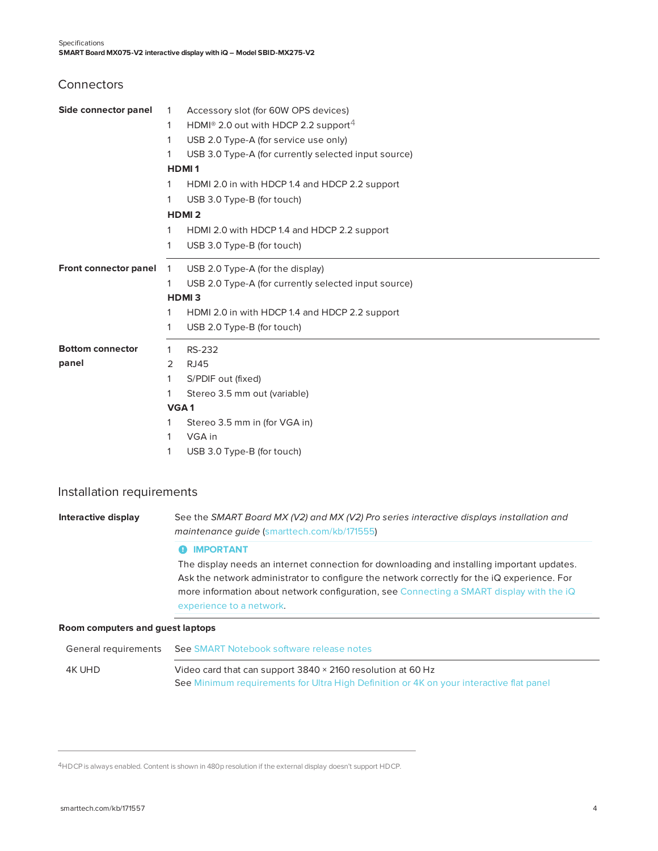**Connectors** 

| Side connector panel    | $\mathbf{1}$ | Accessory slot (for 60W OPS devices)                         |
|-------------------------|--------------|--------------------------------------------------------------|
|                         | 1            | HDMI <sup>®</sup> 2.0 out with HDCP 2.2 support <sup>4</sup> |
|                         | 1            | USB 2.0 Type-A (for service use only)                        |
|                         | 1            | USB 3.0 Type-A (for currently selected input source)         |
|                         |              | <b>HDMI1</b>                                                 |
|                         | 1            | HDMI 2.0 in with HDCP 1.4 and HDCP 2.2 support               |
|                         | 1            | USB 3.0 Type-B (for touch)                                   |
|                         |              | <b>HDMI2</b>                                                 |
|                         | 1            | HDMI 2.0 with HDCP 1.4 and HDCP 2.2 support                  |
|                         | 1            | USB 3.0 Type-B (for touch)                                   |
| Front connector panel   | $\mathbf{1}$ | USB 2.0 Type-A (for the display)                             |
|                         | 1            | USB 2.0 Type-A (for currently selected input source)         |
|                         |              | HDMI <sub>3</sub>                                            |
|                         | 1            | HDMI 2.0 in with HDCP 1.4 and HDCP 2.2 support               |
|                         | 1            | USB 2.0 Type-B (for touch)                                   |
| <b>Bottom connector</b> | 1            | RS-232                                                       |
| panel                   | 2            | <b>RJ45</b>                                                  |
|                         | 1            | S/PDIF out (fixed)                                           |
|                         | 1            | Stereo 3.5 mm out (variable)                                 |
|                         |              | VGA <sub>1</sub>                                             |
|                         |              | Stereo 3.5 mm in (for VGA in)                                |
|                         | 1            | VGA in                                                       |
|                         | 1            | USB 3.0 Type-B (for touch)                                   |

#### Installation requirements

**Interactive display** See the *SMART Board MX (V2) and MX (V2) Pro series interactive displays installation and maintenance guide* ([smarttech.com/kb/171555\)](http://www.smarttech.com/kb/171555)

#### **O** IMPORTANT

The display needs an internet connection for downloading and installing important updates. Ask the network administrator to configure the network correctly for the iQ experience. For more information about network configuration, see [Connecting](https://support.smarttech.com/docs/redirect/?product=iq&context=configure-network) a SMART display with the iQ [experience](https://support.smarttech.com/docs/redirect/?product=iq&context=configure-network) to a network.

#### **Room computers and guest laptops**

| General requirements | See SMART Notebook software release notes                                               |
|----------------------|-----------------------------------------------------------------------------------------|
| 4K UHD               | Video card that can support 3840 × 2160 resolution at 60 Hz                             |
|                      | See Minimum requirements for Ultra High Definition or 4K on your interactive flat panel |

4HDCP is always enabled. Content is shown in 480p resolution if the external display doesn't support HDCP.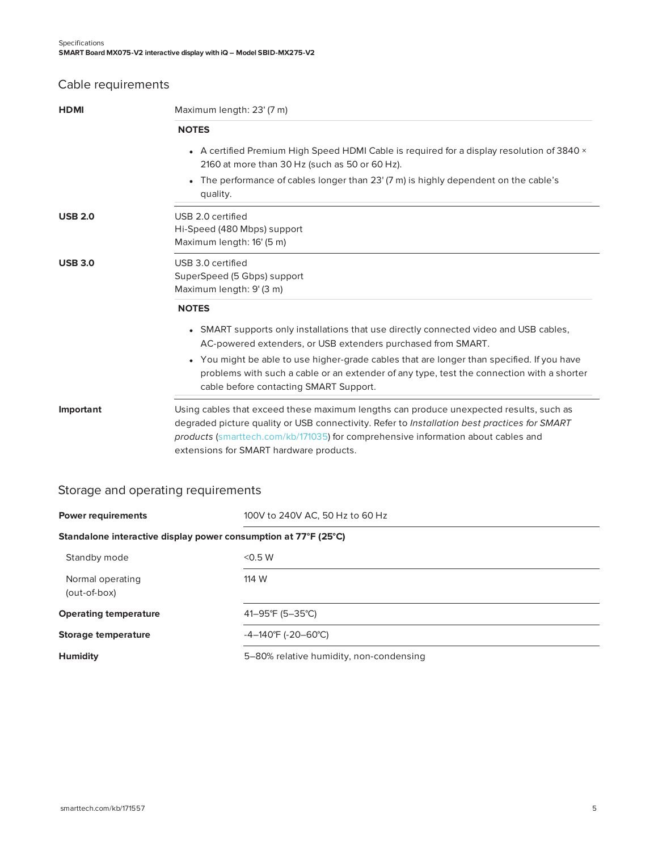## Cable requirements

| <b>HDMI</b>    | Maximum length: 23' (7 m)                                                                                                                                                                                                                                                                                              |  |
|----------------|------------------------------------------------------------------------------------------------------------------------------------------------------------------------------------------------------------------------------------------------------------------------------------------------------------------------|--|
|                | <b>NOTES</b>                                                                                                                                                                                                                                                                                                           |  |
|                | • A certified Premium High Speed HDMI Cable is required for a display resolution of 3840 ×<br>2160 at more than 30 Hz (such as 50 or 60 Hz).                                                                                                                                                                           |  |
|                | The performance of cables longer than 23' (7 m) is highly dependent on the cable's<br>quality.                                                                                                                                                                                                                         |  |
| <b>USB 2.0</b> | USB 2.0 certified<br>Hi-Speed (480 Mbps) support<br>Maximum length: 16' (5 m)                                                                                                                                                                                                                                          |  |
| <b>USB 3.0</b> | USB 3.0 certified<br>SuperSpeed (5 Gbps) support<br>Maximum length: 9' (3 m)                                                                                                                                                                                                                                           |  |
|                | <b>NOTES</b>                                                                                                                                                                                                                                                                                                           |  |
|                | • SMART supports only installations that use directly connected video and USB cables,<br>AC-powered extenders, or USB extenders purchased from SMART.                                                                                                                                                                  |  |
|                | • You might be able to use higher-grade cables that are longer than specified. If you have<br>problems with such a cable or an extender of any type, test the connection with a shorter<br>cable before contacting SMART Support.                                                                                      |  |
| Important      | Using cables that exceed these maximum lengths can produce unexpected results, such as<br>degraded picture quality or USB connectivity. Refer to Installation best practices for SMART<br>products (smarttech.com/kb/171035) for comprehensive information about cables and<br>extensions for SMART hardware products. |  |
|                |                                                                                                                                                                                                                                                                                                                        |  |

## Storage and operating requirements

| <b>Power requirements</b>                                       | 100V to 240V AC, 50 Hz to 60 Hz         |  |
|-----------------------------------------------------------------|-----------------------------------------|--|
| Standalone interactive display power consumption at 77°F (25°C) |                                         |  |
| Standby mode                                                    | < 0.5 W                                 |  |
| Normal operating<br>(out-of-box)                                | 114 W                                   |  |
| <b>Operating temperature</b>                                    | 41-95°F (5-35°C)                        |  |
| Storage temperature                                             | $-4-140^{\circ}F (-20-60^{\circ}C)$     |  |
| <b>Humidity</b>                                                 | 5–80% relative humidity, non-condensing |  |